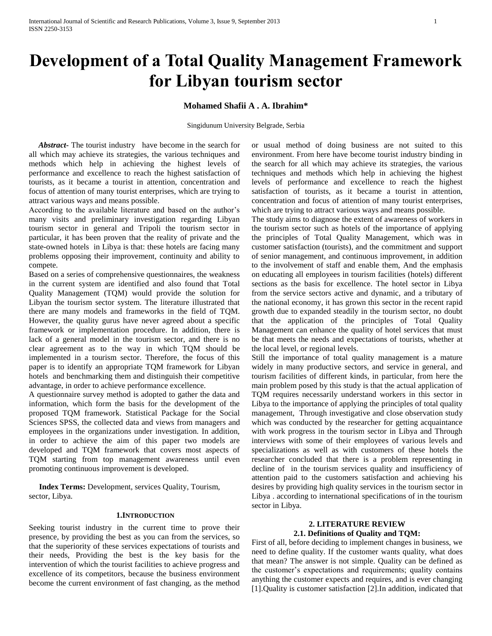# **Development of a Total Quality Management Framework for Libyan tourism sector**

# **Mohamed Shafii A . A. Ibrahim\***

Singidunum University Belgrade, Serbia

*Abstract***-** The tourist industry have become in the search for all which may achieve its strategies, the various techniques and methods which help in achieving the highest levels of performance and excellence to reach the highest satisfaction of tourists, as it became a tourist in attention, concentration and focus of attention of many tourist enterprises, which are trying to attract various ways and means possible.

According to the available literature and based on the author's many visits and preliminary investigation regarding Libyan tourism sector in general and Tripoli the tourism sector in particular, it has been proven that the reality of private and the state-owned hotels in Libya is that: these hotels are facing many problems opposing their improvement, continuity and ability to compete.

Based on a series of comprehensive questionnaires, the weakness in the current system are identified and also found that Total Quality Management (TQM) would provide the solution for Libyan the tourism sector system. The literature illustrated that there are many models and frameworks in the field of TQM. However, the quality gurus have never agreed about a specific framework or implementation procedure. In addition, there is lack of a general model in the tourism sector, and there is no clear agreement as to the way in which TQM should be implemented in a tourism sector. Therefore, the focus of this paper is to identify an appropriate TQM framework for Libyan hotels and benchmarking them and distinguish their competitive advantage, in order to achieve performance excellence.

A questionnaire survey method is adopted to gather the data and information, which form the basis for the development of the proposed TQM framework. Statistical Package for the Social Sciences SPSS, the collected data and views from managers and employees in the organizations under investigation. In addition, in order to achieve the aim of this paper two models are developed and TQM framework that covers most aspects of TQM starting from top management awareness until even promoting continuous improvement is developed.

 **Index Terms:** Development, services Quality, Tourism, sector, Libya.

#### **1.INTRODUCTION**

Seeking tourist industry in the current time to prove their presence, by providing the best as you can from the services, so that the superiority of these services expectations of tourists and their needs, Providing the best is the key basis for the intervention of which the tourist facilities to achieve progress and excellence of its competitors, because the business environment become the current environment of fast changing, as the method

or usual method of doing business are not suited to this environment. From here have become tourist industry binding in the search for all which may achieve its strategies, the various techniques and methods which help in achieving the highest levels of performance and excellence to reach the highest satisfaction of tourists, as it became a tourist in attention, concentration and focus of attention of many tourist enterprises, which are trying to attract various ways and means possible.

The study aims to diagnose the extent of awareness of workers in the tourism sector such as hotels of the importance of applying the principles of Total Quality Management, which was in customer satisfaction (tourists), and the commitment and support of senior management, and continuous improvement, in addition to the involvement of staff and enable them, And the emphasis on educating all employees in tourism facilities (hotels) different sections as the basis for excellence. The hotel sector in Libya from the service sectors active and dynamic, and a tributary of the national economy, it has grown this sector in the recent rapid growth due to expanded steadily in the tourism sector, no doubt that the application of the principles of Total Quality Management can enhance the quality of hotel services that must be that meets the needs and expectations of tourists, whether at the local level, or regional levels.

Still the importance of total quality management is a mature widely in many productive sectors, and service in general, and tourism facilities of different kinds, in particular, from here the main problem posed by this study is that the actual application of TQM requires necessarily understand workers in this sector in Libya to the importance of applying the principles of total quality management, Through investigative and close observation study which was conducted by the researcher for getting acquaintance with work progress in the tourism sector in Libya and Through interviews with some of their employees of various levels and specializations as well as with customers of these hotels the researcher concluded that there is a problem representing in decline of in the tourism services quality and insufficiency of attention paid to the customers satisfaction and achieving his desires by providing high quality services in the tourism sector in Libya . according to international specifications of in the tourism sector in Libya.

## **2. LITERATURE REVIEW 2.1. Definitions of Quality and TQM:**

First of all, before deciding to implement changes in business, we need to define quality. If the customer wants quality, what does that mean? The answer is not simple. Quality can be defined as the customer's expectations and requirements; quality contains anything the customer expects and requires, and is ever changing [1].Quality is customer satisfaction [2].In addition, indicated that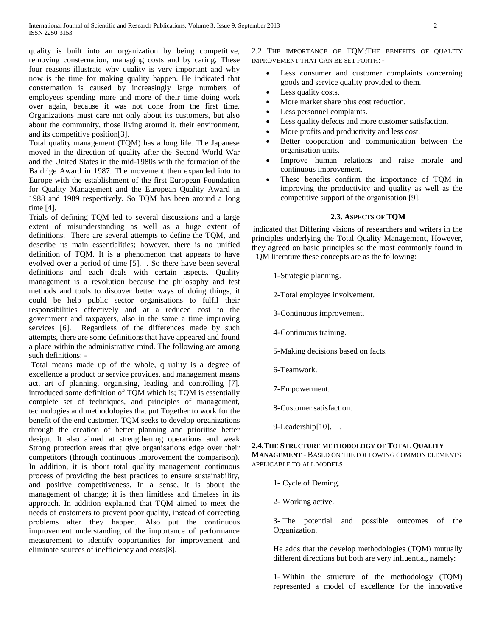quality is built into an organization by being competitive, removing consternation, managing costs and by caring. These four reasons illustrate why quality is very important and why now is the time for making quality happen. He indicated that consternation is caused by increasingly large numbers of employees spending more and more of their time doing work over again, because it was not done from the first time. Organizations must care not only about its customers, but also about the community, those living around it, their environment, and its competitive position[3].

Total quality management (TQM) has a long life. The Japanese moved in the direction of quality after the Second World War and the United States in the mid-1980s with the formation of the Baldrige Award in 1987. The movement then expanded into to Europe with the establishment of the first European Foundation for Quality Management and the European Quality Award in 1988 and 1989 respectively. So TQM has been around a long time [4].

Trials of defining TQM led to several discussions and a large extent of misunderstanding as well as a huge extent of definitions. There are several attempts to define the TQM, and describe its main essentialities; however, there is no unified definition of TQM. It is a phenomenon that appears to have evolved over a period of time [5]. . So there have been several definitions and each deals with certain aspects. Quality management is a revolution because the philosophy and test methods and tools to discover better ways of doing things, it could be help public sector organisations to fulfil their responsibilities effectively and at a reduced cost to the government and taxpayers, also in the same a time improving services [6]. Regardless of the differences made by such attempts, there are some definitions that have appeared and found a place within the administrative mind. The following are among such definitions: -

Total means made up of the whole, q uality is a degree of excellence a product or service provides, and management means act, art of planning, organising, leading and controlling [7]. introduced some definition of TQM which is; TQM is essentially complete set of techniques, and principles of management, technologies and methodologies that put Together to work for the benefit of the end customer. TQM seeks to develop organizations through the creation of better planning and prioritise better design. It also aimed at strengthening operations and weak Strong protection areas that give organisations edge over their competitors (through continuous improvement the comparison). In addition, it is about total quality management continuous process of providing the best practices to ensure sustainability, and positive competitiveness. In a sense, it is about the management of change; it is then limitless and timeless in its approach. In addition explained that TQM aimed to meet the needs of customers to prevent poor quality, instead of correcting problems after they happen. Also put the continuous improvement understanding of the importance of performance measurement to identify opportunities for improvement and eliminate sources of inefficiency and costs[8].

2.2 THE IMPORTANCE OF TOM: THE BENEFITS OF OUALITY IMPROVEMENT THAT CAN BE SET FORTH: -

- Less consumer and customer complaints concerning goods and service quality provided to them.
- Less quality costs.
- More market share plus cost reduction.
- Less personnel complaints.
- Less quality defects and more customer satisfaction.
- More profits and productivity and less cost.
- Better cooperation and communication between the organisation units.
- Improve human relations and raise morale and continuous improvement.
- These benefits confirm the importance of TQM in improving the productivity and quality as well as the competitive support of the organisation [9].

# **2.3. ASPECTS OF TQM**

indicated that Differing visions of researchers and writers in the principles underlying the Total Quality Management, However, they agreed on basic principles so the most commonly found in TQM literature these concepts are as the following:

1-Strategic planning.

- 2-Total employee involvement.
- 3-Continuous improvement.
- 4-Continuous training.
- 5-Making decisions based on facts.
- 6-Teamwork.
- 7-Empowerment.
- 8-Customer satisfaction.
- 9-Leadership[10]. .

# **2.4.THE STRUCTURE METHODOLOGY OF TOTAL QUALITY**

**MANAGEMENT** - BASED ON THE FOLLOWING COMMON ELEMENTS APPLICABLE TO ALL MODELS:

- 1- Cycle of Deming.
- 2- Working active.

3- The potential and possible outcomes of the Organization.

He adds that the develop methodologies (TQM) mutually different directions but both are very influential, namely:

1- Within the structure of the methodology (TQM) represented a model of excellence for the innovative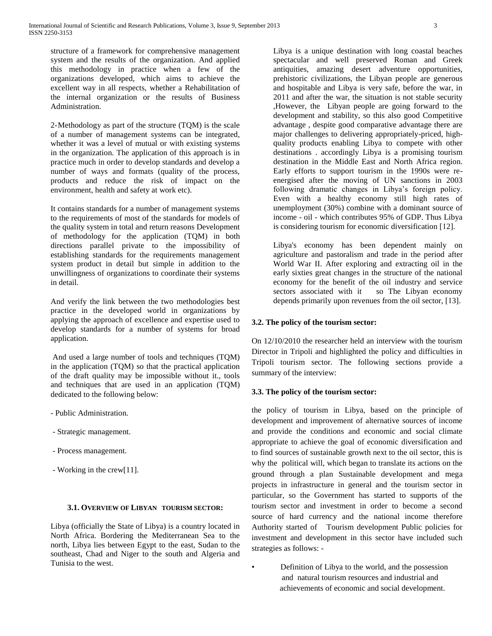structure of a framework for comprehensive management system and the results of the organization. And applied this methodology in practice when a few of the organizations developed, which aims to achieve the excellent way in all respects, whether a Rehabilitation of the internal organization or the results of Business Administration.

2-Methodology as part of the structure (TQM) is the scale of a number of management systems can be integrated, whether it was a level of mutual or with existing systems in the organization. The application of this approach is in practice much in order to develop standards and develop a number of ways and formats (quality of the process, products and reduce the risk of impact on the environment, health and safety at work etc).

It contains standards for a number of management systems to the requirements of most of the standards for models of the quality system in total and return reasons Development of methodology for the application (TQM) in both directions parallel private to the impossibility of establishing standards for the requirements management system product in detail but simple in addition to the unwillingness of organizations to coordinate their systems in detail.

And verify the link between the two methodologies best practice in the developed world in organizations by applying the approach of excellence and expertise used to develop standards for a number of systems for broad application.

And used a large number of tools and techniques (TQM) in the application (TQM) so that the practical application of the draft quality may be impossible without it., tools and techniques that are used in an application (TQM) dedicated to the following below:

- Public Administration.
- Strategic management.
- Process management.
- Working in the crew[11].

# **3.1. OVERVIEW OF LIBYAN TOURISM SECTOR:**

Libya (officially the State of Libya) is a country located in North Africa. Bordering the Mediterranean Sea to the north, Libya lies between Egypt to the east, Sudan to the southeast, Chad and Niger to the south and Algeria and Tunisia to the west.

Libya is a unique destination with long coastal beaches spectacular and well preserved Roman and Greek antiquities, amazing desert adventure opportunities, prehistoric civilizations, the Libyan people are generous and hospitable and Libya is very safe, before the war, in 2011 and after the war, the situation is not stable security ,However, the Libyan people are going forward to the development and stability, so this also good Competitive advantage , despite good comparative advantage there are major challenges to delivering appropriately-priced, highquality products enabling Libya to compete with other destinations . accordingly Libya is a promising tourism destination in the Middle East and North Africa region. Early efforts to support tourism in the 1990s were reenergised after the moving of UN sanctions in 2003 following dramatic changes in Libya's foreign policy. Even with a healthy economy still high rates of unemployment (30%) combine with a dominant source of income - oil - which contributes 95% of GDP. Thus Libya is considering tourism for economic diversification [12].

Libya's economy has been dependent mainly on agriculture and pastoralism and trade in the period after World War II. After exploring and extracting oil in the early sixties great changes in the structure of the national economy for the benefit of the oil industry and service sectors associated with it so The Libyan economy depends primarily upon revenues from the oil sector, [13].

## **3.2. The policy of the tourism sector:**

On 12/10/2010 the researcher held an interview with the tourism Director in Tripoli and highlighted the policy and difficulties in Tripoli tourism sector. The following sections provide a summary of the interview:

#### **3.3. The policy of the tourism sector:**

the policy of tourism in Libya, based on the principle of development and improvement of alternative sources of income and provide the conditions and economic and social climate appropriate to achieve the goal of economic diversification and to find sources of sustainable growth next to the oil sector, this is why the political will, which began to translate its actions on the ground through a plan Sustainable development and mega projects in infrastructure in general and the tourism sector in particular, so the Government has started to supports of the tourism sector and investment in order to become a second source of hard currency and the national income therefore Authority started of Tourism development Public policies for investment and development in this sector have included such strategies as follows: -

• Definition of Libya to the world, and the possession and natural tourism resources and industrial and achievements of economic and social development.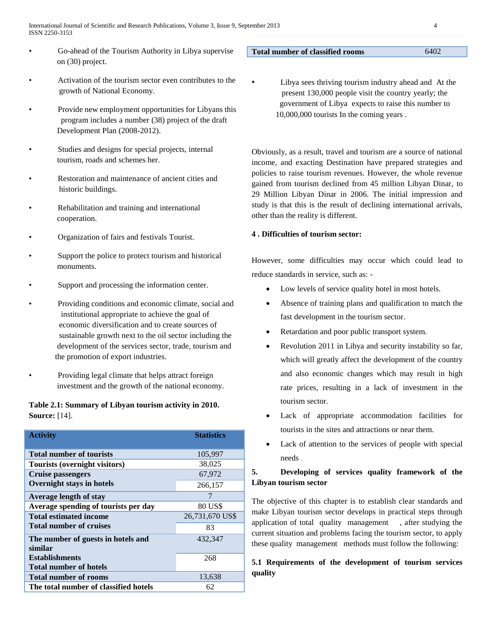- Go-ahead of the Tourism Authority in Libya supervise on (30) project.
- Activation of the tourism sector even contributes to the growth of National Economy.
- Provide new employment opportunities for Libyans this program includes a number (38) project of the draft Development Plan (2008-2012).
- Studies and designs for special projects, internal tourism, roads and schemes her.
- Restoration and maintenance of ancient cities and historic buildings.
- Rehabilitation and training and international cooperation.
- Organization of fairs and festivals Tourist.
- Support the police to protect tourism and historical monuments.
- Support and processing the information center.
- Providing conditions and economic climate, social and institutional appropriate to achieve the goal of economic diversification and to create sources of sustainable growth next to the oil sector including the development of the services sector, trade, tourism and the promotion of export industries.
- Providing legal climate that helps attract foreign investment and the growth of the national economy.

# **Table 2.1: Summary of Libyan tourism activity in 2010. Source:** [14].

| <b>Activity</b>                               | <b>Statistics</b> |
|-----------------------------------------------|-------------------|
| <b>Total number of tourists</b>               | 105,997           |
| Tourists (overnight visitors)                 | 38,025            |
| <b>Cruise passengers</b>                      | 67,972            |
| <b>Overnight stays in hotels</b>              | 266,157           |
| <b>Average length of stay</b>                 | 7                 |
| Average spending of tourists per day          | 80 US\$           |
| <b>Total estimated income</b>                 | 26,731,670 US\$   |
| <b>Total number of cruises</b>                | 83                |
| The number of guests in hotels and<br>similar | 432,347           |
| <b>Establishments</b>                         | 268               |
| <b>Total number of hotels</b>                 |                   |
| <b>Total number of rooms</b>                  | 13,638            |
| The total number of classified hotels         | 62                |

## **Total number of classified rooms** 6402

- 
- Libya sees thriving tourism industry ahead and At the present 130,000 people visit the country yearly; the government of Libya expects to raise this number to 10,000,000 tourists In the coming years .

Obviously, as a result, travel and tourism are a source of national income, and exacting Destination have prepared strategies and policies to raise tourism revenues. However, the whole revenue gained from tourism declined from 45 million Libyan Dinar, to 29 Million Libyan Dinar in 2006. The initial impression and study is that this is the result of declining international arrivals, other than the reality is different.

# **4 . Difficulties of tourism sector:**

However, some difficulties may occur which could lead to reduce standards in service, such as: -

- Low levels of service quality hotel in most hotels.
- Absence of training plans and qualification to match the fast development in the tourism sector.
- Retardation and poor public transport system.
- Revolution 2011 in Libya and security instability so far, which will greatly affect the development of the country and also economic changes which may result in high rate prices, resulting in a lack of investment in the tourism sector.
- Lack of appropriate accommodation facilities for tourists in the sites and attractions or near them.
- Lack of attention to the services of people with special needs .

# **5. Developing of services quality framework of the Libyan tourism sector**

The objective of this chapter is to establish clear standards and make Libyan tourism sector develops in practical steps through application of total quality management , after studying the current situation and problems facing the tourism sector, to apply these quality management methods must follow the following:

# **5.1 Requirements of the development of tourism services quality**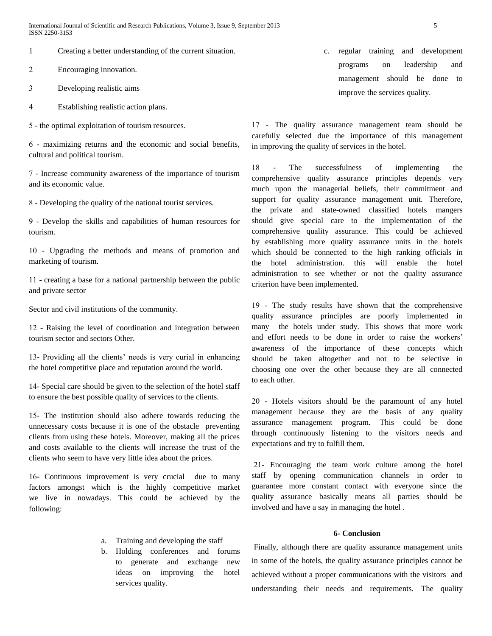1 Creating a better understanding of the current situation.

2 Encouraging innovation.

- 3 Developing realistic aims
- 4 Establishing realistic action plans.

5 - the optimal exploitation of tourism resources.

6 - maximizing returns and the economic and social benefits, cultural and political tourism.

7 - Increase community awareness of the importance of tourism and its economic value.

8 - Developing the quality of the national tourist services.

9 - Develop the skills and capabilities of human resources for tourism.

11 - Upgrading the methods and means of promotion and marketing of tourism.

11 - creating a base for a national partnership between the public and private sector

Sector and civil institutions of the community.

12 - Raising the level of coordination and integration between tourism sector and sectors Other.

13- Providing all the clients' needs is very curial in enhancing the hotel competitive place and reputation around the world.

14- Special care should be given to the selection of the hotel staff to ensure the best possible quality of services to the clients.

15- The institution should also adhere towards reducing the unnecessary costs because it is one of the obstacle preventing clients from using these hotels. Moreover, making all the prices and costs available to the clients will increase the trust of the clients who seem to have very little idea about the prices.

16- Continuous improvement is very crucial due to many factors amongst which is the highly competitive market we live in nowadays. This could be achieved by the following:

- a. Training and developing the staff
- b. Holding conferences and forums to generate and exchange new ideas on improving the hotel services quality.

c. regular training and development programs on leadership and management should be done to improve the services quality.

17 - The quality assurance management team should be carefully selected due the importance of this management in improving the quality of services in the hotel.

18 - The successfulness of implementing the comprehensive quality assurance principles depends very much upon the managerial beliefs, their commitment and support for quality assurance management unit. Therefore, the private and state-owned classified hotels mangers should give special care to the implementation of the comprehensive quality assurance. This could be achieved by establishing more quality assurance units in the hotels which should be connected to the high ranking officials in the hotel administration. this will enable the hotel administration to see whether or not the quality assurance criterion have been implemented.

19 - The study results have shown that the comprehensive quality assurance principles are poorly implemented in many the hotels under study. This shows that more work and effort needs to be done in order to raise the workers' awareness of the importance of these concepts which should be taken altogether and not to be selective in choosing one over the other because they are all connected to each other.

21 - Hotels visitors should be the paramount of any hotel management because they are the basis of any quality assurance management program. This could be done through continuously listening to the visitors needs and expectations and try to fulfill them.

21- Encouraging the team work culture among the hotel staff by opening communication channels in order to guarantee more constant contact with everyone since the quality assurance basically means all parties should be involved and have a say in managing the hotel .

# **6- Conclusion**

Finally, although there are quality assurance management units in some of the hotels, the quality assurance principles cannot be achieved without a proper communications with the visitors and understanding their needs and requirements. The quality